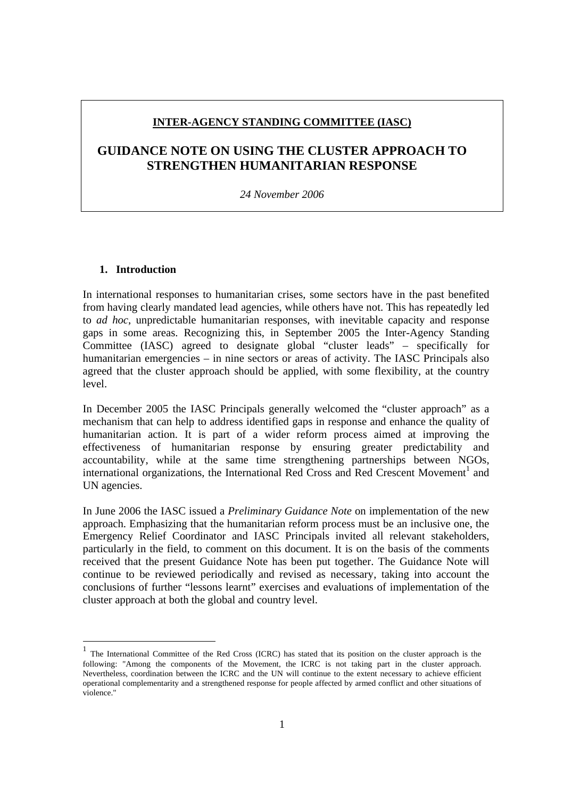# **INTER-AGENCY STANDING COMMITTEE (IASC)**

# **GUIDANCE NOTE ON USING THE CLUSTER APPROACH TO STRENGTHEN HUMANITARIAN RESPONSE**

*24 November 2006*

# **1. Introduction**

In international responses to humanitarian crises, some sectors have in the past benefited from having clearly mandated lead agencies, while others have not. This has repeatedly led to *ad hoc*, unpredictable humanitarian responses, with inevitable capacity and response gaps in some areas. Recognizing this, in September 2005 the Inter-Agency Standing Committee (IASC) agreed to designate global "cluster leads" – specifically for humanitarian emergencies – in nine sectors or areas of activity. The IASC Principals also agreed that the cluster approach should be applied, with some flexibility, at the country level.

In December 2005 the IASC Principals generally welcomed the "cluster approach" as a mechanism that can help to address identified gaps in response and enhance the quality of humanitarian action. It is part of a wider reform process aimed at improving the effectiveness of humanitarian response by ensuring greater predictability and accountability, while at the same time strengthening partnerships between NGOs, international organizations, the International Red Cross and Red Crescent Movement<sup>1</sup> and UN agencies.

In June 2006 the IASC issued a *Preliminary Guidance Note* on implementation of the new approach. Emphasizing that the humanitarian reform process must be an inclusive one, the Emergency Relief Coordinator and IASC Principals invited all relevant stakeholders, particularly in the field, to comment on this document. It is on the basis of the comments received that the present Guidance Note has been put together. The Guidance Note will continue to be reviewed periodically and revised as necessary, taking into account the conclusions of further "lessons learnt" exercises and evaluations of implementation of the cluster approach at both the global and country level.

<sup>&</sup>lt;sup>1</sup> The International Committee of the Red Cross (ICRC) has stated that its position on the cluster approach is the following: "Among the components of the Movement, the ICRC is not taking part in the cluster approach. Nevertheless, coordination between the ICRC and the UN will continue to the extent necessary to achieve efficient operational complementarity and a strengthened response for people affected by armed conflict and other situations of violence."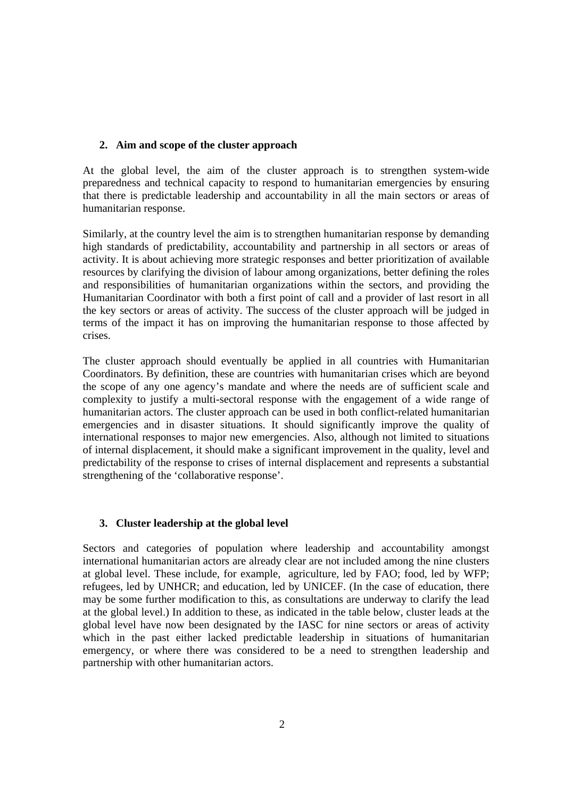# **2. Aim and scope of the cluster approach**

At the global level, the aim of the cluster approach is to strengthen system-wide preparedness and technical capacity to respond to humanitarian emergencies by ensuring that there is predictable leadership and accountability in all the main sectors or areas of humanitarian response.

Similarly, at the country level the aim is to strengthen humanitarian response by demanding high standards of predictability, accountability and partnership in all sectors or areas of activity. It is about achieving more strategic responses and better prioritization of available resources by clarifying the division of labour among organizations, better defining the roles and responsibilities of humanitarian organizations within the sectors, and providing the Humanitarian Coordinator with both a first point of call and a provider of last resort in all the key sectors or areas of activity. The success of the cluster approach will be judged in terms of the impact it has on improving the humanitarian response to those affected by crises.

The cluster approach should eventually be applied in all countries with Humanitarian Coordinators. By definition, these are countries with humanitarian crises which are beyond the scope of any one agency's mandate and where the needs are of sufficient scale and complexity to justify a multi-sectoral response with the engagement of a wide range of humanitarian actors. The cluster approach can be used in both conflict-related humanitarian emergencies and in disaster situations. It should significantly improve the quality of international responses to major new emergencies. Also, although not limited to situations of internal displacement, it should make a significant improvement in the quality, level and predictability of the response to crises of internal displacement and represents a substantial strengthening of the 'collaborative response'.

#### **3. Cluster leadership at the global level**

Sectors and categories of population where leadership and accountability amongst international humanitarian actors are already clear are not included among the nine clusters at global level. These include, for example, agriculture, led by FAO; food, led by WFP; refugees, led by UNHCR; and education, led by UNICEF. (In the case of education, there may be some further modification to this, as consultations are underway to clarify the lead at the global level.) In addition to these, as indicated in the table below, cluster leads at the global level have now been designated by the IASC for nine sectors or areas of activity which in the past either lacked predictable leadership in situations of humanitarian emergency, or where there was considered to be a need to strengthen leadership and partnership with other humanitarian actors.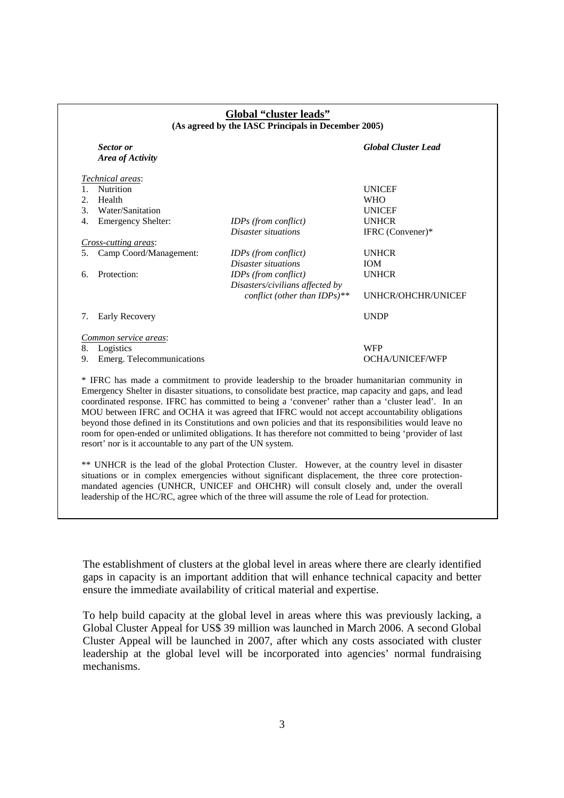| <b>Sector</b> or<br>Area of Activity            |                                 | <b>Global Cluster Lead</b> |
|-------------------------------------------------|---------------------------------|----------------------------|
| Technical areas:                                |                                 |                            |
| Nutrition<br>$1_{-}$                            |                                 | <b>UNICEF</b>              |
| 2.<br>Health                                    |                                 | <b>WHO</b>                 |
| $\mathcal{F}_{\mathcal{L}}$<br>Water/Sanitation |                                 | <b>UNICEF</b>              |
| 4.<br><b>Emergency Shelter:</b>                 | <b>IDPs</b> (from conflict)     | <b>UNHCR</b>               |
|                                                 | Disaster situations             | IFRC (Convener)*           |
| <i>Cross-cutting areas:</i>                     |                                 |                            |
| Camp Coord/Management:<br>5.                    | <b>IDPs</b> (from conflict)     | <b>UNHCR</b>               |
|                                                 | Disaster situations             | <b>IOM</b>                 |
| Protection:<br>6.                               | IDPs (from conflict)            | <b>UNHCR</b>               |
|                                                 | Disasters/civilians affected by |                            |
|                                                 | conflict (other than IDPs)**    | UNHCR/OHCHR/UNICEF         |
| Early Recovery<br>7.                            |                                 | <b>UNDP</b>                |
| Common service areas:                           |                                 |                            |
| 8.<br>Logistics                                 |                                 | <b>WFP</b>                 |
| Emerg. Telecommunications<br>9.                 |                                 | OCHA/UNICEF/WFP            |

coordinated response. IFRC has committed to being a 'convener' rather than a 'cluster lead'. In an MOU between IFRC and OCHA it was agreed that IFRC would not accept accountability obligations beyond those defined in its Constitutions and own policies and that its responsibilities would leave no room for open-ended or unlimited obligations. It has therefore not committed to being 'provider of last

\*\* UNHCR is the lead of the global Protection Cluster. However, at the country level in disaster situations or in complex emergencies without significant displacement, the three core protectionmandated agencies (UNHCR, UNICEF and OHCHR) will consult closely and, under the overall

leadership of the HC/RC, agree which of the three will assume the role of Lead for protection.

resort' nor is it accountable to any part of the UN system.

# **Global "cluster leads"**

The establishment of clusters at the global level in areas where there are clearly identified gaps in capacity is an important addition that will enhance technical capacity and better ensure the immediate availability of critical material and expertise.

To help build capacity at the global level in areas where this was previously lacking, a Global Cluster Appeal for US\$ 39 million was launched in March 2006. A second Global Cluster Appeal will be launched in 2007, after which any costs associated with cluster leadership at the global level will be incorporated into agencies' normal fundraising mechanisms.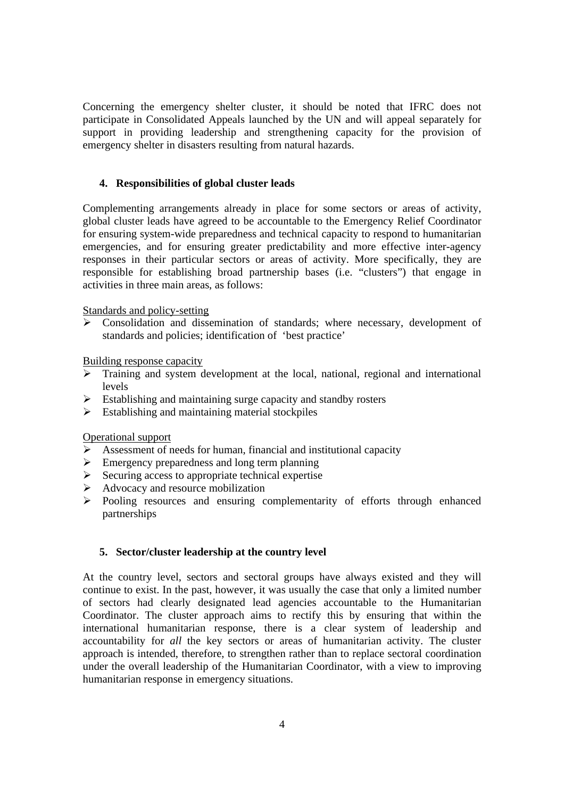Concerning the emergency shelter cluster, it should be noted that IFRC does not participate in Consolidated Appeals launched by the UN and will appeal separately for support in providing leadership and strengthening capacity for the provision of emergency shelter in disasters resulting from natural hazards.

# **4. Responsibilities of global cluster leads**

Complementing arrangements already in place for some sectors or areas of activity, global cluster leads have agreed to be accountable to the Emergency Relief Coordinator for ensuring system-wide preparedness and technical capacity to respond to humanitarian emergencies, and for ensuring greater predictability and more effective inter-agency responses in their particular sectors or areas of activity. More specifically, they are responsible for establishing broad partnership bases (i.e. "clusters") that engage in activities in three main areas, as follows:

# Standards and policy-setting

¾ Consolidation and dissemination of standards; where necessary, development of standards and policies; identification of 'best practice'

Building response capacity

- ¾ Training and system development at the local, national, regional and international levels
- $\triangleright$  Establishing and maintaining surge capacity and standby rosters
- $\triangleright$  Establishing and maintaining material stockpiles

# Operational support

- $\triangleright$  Assessment of needs for human, financial and institutional capacity
- $\triangleright$  Emergency preparedness and long term planning
- $\triangleright$  Securing access to appropriate technical expertise
- $\blacktriangleright$  Advocacy and resource mobilization
- ¾ Pooling resources and ensuring complementarity of efforts through enhanced partnerships

# **5. Sector/cluster leadership at the country level**

At the country level, sectors and sectoral groups have always existed and they will continue to exist. In the past, however, it was usually the case that only a limited number of sectors had clearly designated lead agencies accountable to the Humanitarian Coordinator. The cluster approach aims to rectify this by ensuring that within the international humanitarian response, there is a clear system of leadership and accountability for *all* the key sectors or areas of humanitarian activity. The cluster approach is intended, therefore, to strengthen rather than to replace sectoral coordination under the overall leadership of the Humanitarian Coordinator, with a view to improving humanitarian response in emergency situations.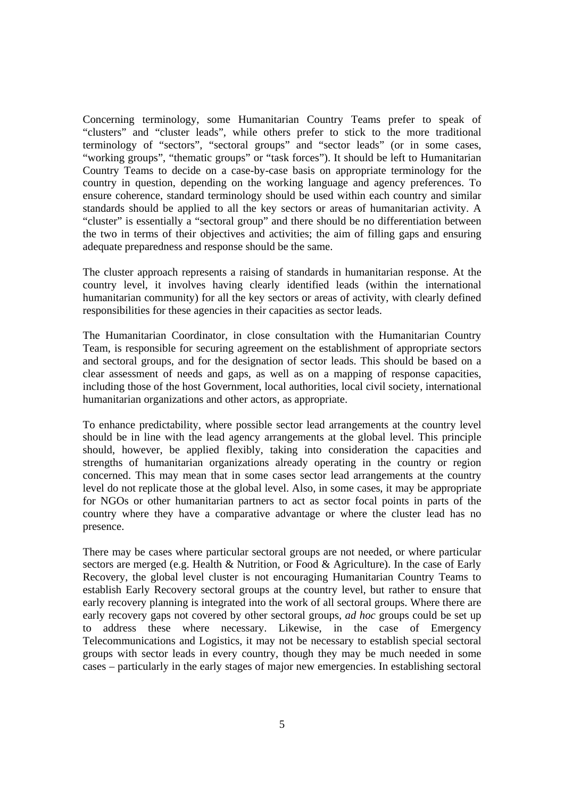Concerning terminology, some Humanitarian Country Teams prefer to speak of "clusters" and "cluster leads", while others prefer to stick to the more traditional terminology of "sectors", "sectoral groups" and "sector leads" (or in some cases, "working groups", "thematic groups" or "task forces"). It should be left to Humanitarian Country Teams to decide on a case-by-case basis on appropriate terminology for the country in question, depending on the working language and agency preferences. To ensure coherence, standard terminology should be used within each country and similar standards should be applied to all the key sectors or areas of humanitarian activity. A "cluster" is essentially a "sectoral group" and there should be no differentiation between the two in terms of their objectives and activities; the aim of filling gaps and ensuring adequate preparedness and response should be the same.

The cluster approach represents a raising of standards in humanitarian response. At the country level, it involves having clearly identified leads (within the international humanitarian community) for all the key sectors or areas of activity, with clearly defined responsibilities for these agencies in their capacities as sector leads.

The Humanitarian Coordinator, in close consultation with the Humanitarian Country Team, is responsible for securing agreement on the establishment of appropriate sectors and sectoral groups, and for the designation of sector leads. This should be based on a clear assessment of needs and gaps, as well as on a mapping of response capacities, including those of the host Government, local authorities, local civil society, international humanitarian organizations and other actors, as appropriate.

To enhance predictability, where possible sector lead arrangements at the country level should be in line with the lead agency arrangements at the global level. This principle should, however, be applied flexibly, taking into consideration the capacities and strengths of humanitarian organizations already operating in the country or region concerned. This may mean that in some cases sector lead arrangements at the country level do not replicate those at the global level. Also, in some cases, it may be appropriate for NGOs or other humanitarian partners to act as sector focal points in parts of the country where they have a comparative advantage or where the cluster lead has no presence.

There may be cases where particular sectoral groups are not needed, or where particular sectors are merged (e.g. Health & Nutrition, or Food & Agriculture). In the case of Early Recovery, the global level cluster is not encouraging Humanitarian Country Teams to establish Early Recovery sectoral groups at the country level, but rather to ensure that early recovery planning is integrated into the work of all sectoral groups. Where there are early recovery gaps not covered by other sectoral groups, *ad hoc* groups could be set up to address these where necessary. Likewise, in the case of Emergency Telecommunications and Logistics, it may not be necessary to establish special sectoral groups with sector leads in every country, though they may be much needed in some cases – particularly in the early stages of major new emergencies. In establishing sectoral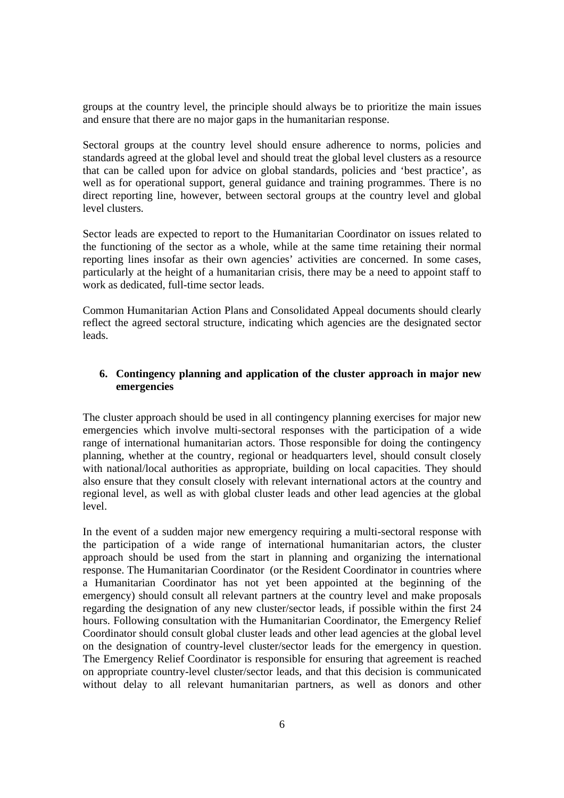groups at the country level, the principle should always be to prioritize the main issues and ensure that there are no major gaps in the humanitarian response.

Sectoral groups at the country level should ensure adherence to norms, policies and standards agreed at the global level and should treat the global level clusters as a resource that can be called upon for advice on global standards, policies and 'best practice', as well as for operational support, general guidance and training programmes. There is no direct reporting line, however, between sectoral groups at the country level and global level clusters.

Sector leads are expected to report to the Humanitarian Coordinator on issues related to the functioning of the sector as a whole, while at the same time retaining their normal reporting lines insofar as their own agencies' activities are concerned. In some cases, particularly at the height of a humanitarian crisis, there may be a need to appoint staff to work as dedicated, full-time sector leads.

Common Humanitarian Action Plans and Consolidated Appeal documents should clearly reflect the agreed sectoral structure, indicating which agencies are the designated sector leads.

# **6. Contingency planning and application of the cluster approach in major new emergencies**

The cluster approach should be used in all contingency planning exercises for major new emergencies which involve multi-sectoral responses with the participation of a wide range of international humanitarian actors. Those responsible for doing the contingency planning, whether at the country, regional or headquarters level, should consult closely with national/local authorities as appropriate, building on local capacities. They should also ensure that they consult closely with relevant international actors at the country and regional level, as well as with global cluster leads and other lead agencies at the global level.

In the event of a sudden major new emergency requiring a multi-sectoral response with the participation of a wide range of international humanitarian actors, the cluster approach should be used from the start in planning and organizing the international response. The Humanitarian Coordinator (or the Resident Coordinator in countries where a Humanitarian Coordinator has not yet been appointed at the beginning of the emergency) should consult all relevant partners at the country level and make proposals regarding the designation of any new cluster/sector leads, if possible within the first 24 hours. Following consultation with the Humanitarian Coordinator, the Emergency Relief Coordinator should consult global cluster leads and other lead agencies at the global level on the designation of country-level cluster/sector leads for the emergency in question. The Emergency Relief Coordinator is responsible for ensuring that agreement is reached on appropriate country-level cluster/sector leads, and that this decision is communicated without delay to all relevant humanitarian partners, as well as donors and other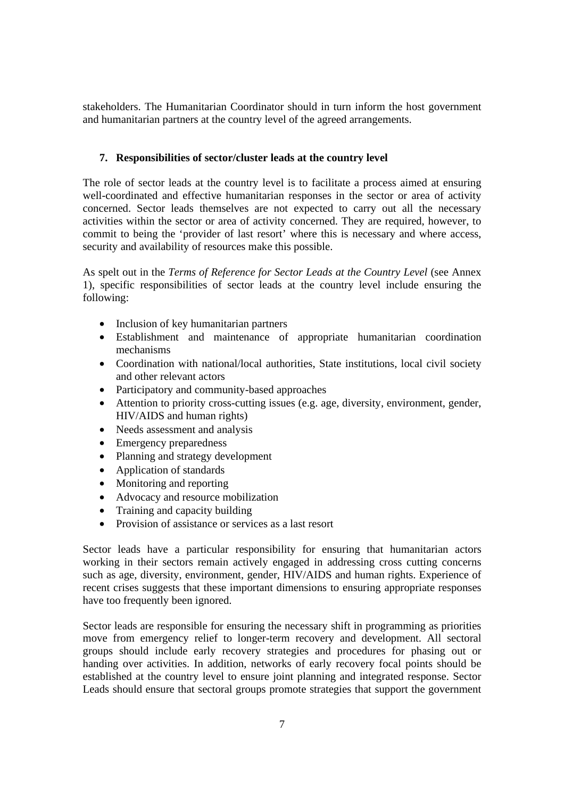stakeholders. The Humanitarian Coordinator should in turn inform the host government and humanitarian partners at the country level of the agreed arrangements.

# **7. Responsibilities of sector/cluster leads at the country level**

The role of sector leads at the country level is to facilitate a process aimed at ensuring well-coordinated and effective humanitarian responses in the sector or area of activity concerned. Sector leads themselves are not expected to carry out all the necessary activities within the sector or area of activity concerned. They are required, however, to commit to being the 'provider of last resort' where this is necessary and where access, security and availability of resources make this possible.

As spelt out in the *Terms of Reference for Sector Leads at the Country Level* (see Annex 1), specific responsibilities of sector leads at the country level include ensuring the following:

- Inclusion of key humanitarian partners
- Establishment and maintenance of appropriate humanitarian coordination mechanisms
- Coordination with national/local authorities, State institutions, local civil society and other relevant actors
- Participatory and community-based approaches
- Attention to priority cross-cutting issues (e.g. age, diversity, environment, gender, HIV/AIDS and human rights)
- Needs assessment and analysis
- Emergency preparedness
- Planning and strategy development
- Application of standards
- Monitoring and reporting
- Advocacy and resource mobilization
- Training and capacity building
- Provision of assistance or services as a last resort

Sector leads have a particular responsibility for ensuring that humanitarian actors working in their sectors remain actively engaged in addressing cross cutting concerns such as age, diversity, environment, gender, HIV/AIDS and human rights. Experience of recent crises suggests that these important dimensions to ensuring appropriate responses have too frequently been ignored.

Sector leads are responsible for ensuring the necessary shift in programming as priorities move from emergency relief to longer-term recovery and development. All sectoral groups should include early recovery strategies and procedures for phasing out or handing over activities. In addition, networks of early recovery focal points should be established at the country level to ensure joint planning and integrated response. Sector Leads should ensure that sectoral groups promote strategies that support the government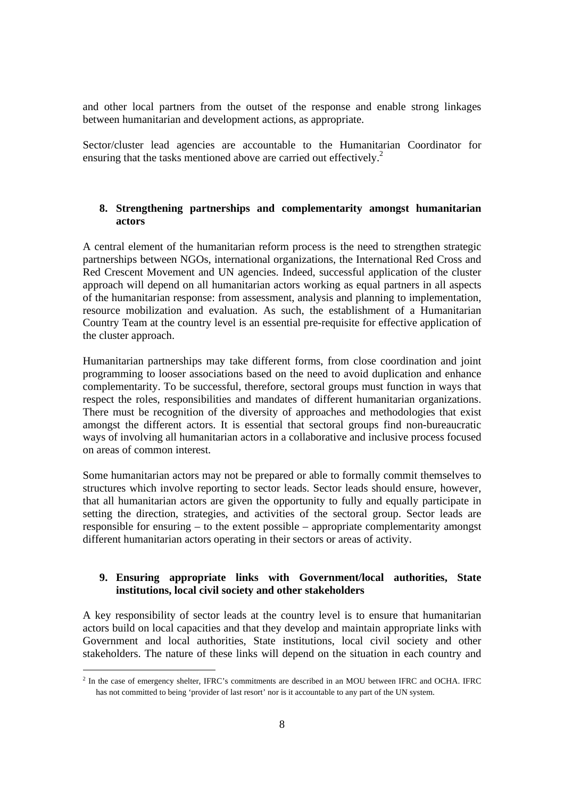and other local partners from the outset of the response and enable strong linkages between humanitarian and development actions, as appropriate.

Sector/cluster lead agencies are accountable to the Humanitarian Coordinator for ensuring that the tasks mentioned above are carried out effectively.<sup>2</sup>

# **8. Strengthening partnerships and complementarity amongst humanitarian actors**

A central element of the humanitarian reform process is the need to strengthen strategic partnerships between NGOs, international organizations, the International Red Cross and Red Crescent Movement and UN agencies. Indeed, successful application of the cluster approach will depend on all humanitarian actors working as equal partners in all aspects of the humanitarian response: from assessment, analysis and planning to implementation, resource mobilization and evaluation. As such, the establishment of a Humanitarian Country Team at the country level is an essential pre-requisite for effective application of the cluster approach.

Humanitarian partnerships may take different forms, from close coordination and joint programming to looser associations based on the need to avoid duplication and enhance complementarity. To be successful, therefore, sectoral groups must function in ways that respect the roles, responsibilities and mandates of different humanitarian organizations. There must be recognition of the diversity of approaches and methodologies that exist amongst the different actors. It is essential that sectoral groups find non-bureaucratic ways of involving all humanitarian actors in a collaborative and inclusive process focused on areas of common interest.

Some humanitarian actors may not be prepared or able to formally commit themselves to structures which involve reporting to sector leads. Sector leads should ensure, however, that all humanitarian actors are given the opportunity to fully and equally participate in setting the direction, strategies, and activities of the sectoral group. Sector leads are responsible for ensuring – to the extent possible – appropriate complementarity amongst different humanitarian actors operating in their sectors or areas of activity.

# **9. Ensuring appropriate links with Government/local authorities, State institutions, local civil society and other stakeholders**

A key responsibility of sector leads at the country level is to ensure that humanitarian actors build on local capacities and that they develop and maintain appropriate links with Government and local authorities, State institutions, local civil society and other stakeholders. The nature of these links will depend on the situation in each country and

<sup>&</sup>lt;sup>2</sup> In the case of emergency shelter, IFRC's commitments are described in an MOU between IFRC and OCHA. IFRC has not committed to being 'provider of last resort' nor is it accountable to any part of the UN system.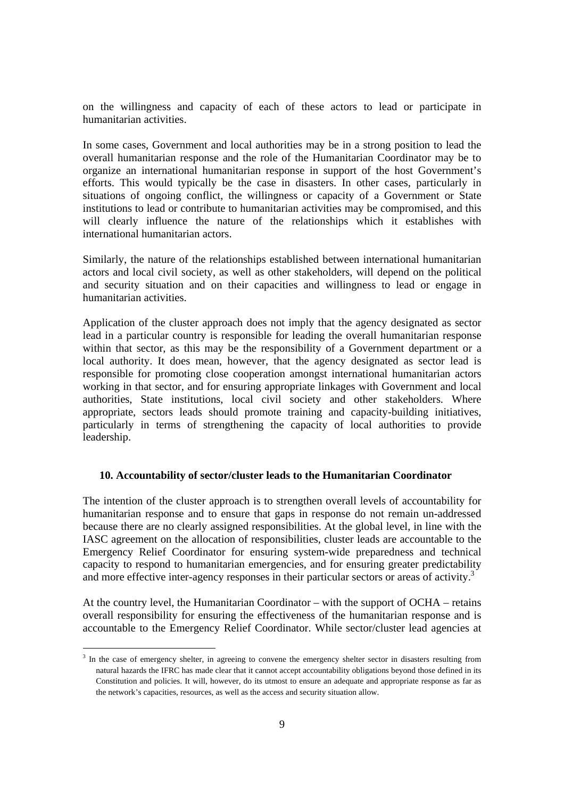on the willingness and capacity of each of these actors to lead or participate in humanitarian activities.

In some cases, Government and local authorities may be in a strong position to lead the overall humanitarian response and the role of the Humanitarian Coordinator may be to organize an international humanitarian response in support of the host Government's efforts. This would typically be the case in disasters. In other cases, particularly in situations of ongoing conflict, the willingness or capacity of a Government or State institutions to lead or contribute to humanitarian activities may be compromised, and this will clearly influence the nature of the relationships which it establishes with international humanitarian actors.

Similarly, the nature of the relationships established between international humanitarian actors and local civil society, as well as other stakeholders, will depend on the political and security situation and on their capacities and willingness to lead or engage in humanitarian activities.

Application of the cluster approach does not imply that the agency designated as sector lead in a particular country is responsible for leading the overall humanitarian response within that sector, as this may be the responsibility of a Government department or a local authority. It does mean, however, that the agency designated as sector lead is responsible for promoting close cooperation amongst international humanitarian actors working in that sector, and for ensuring appropriate linkages with Government and local authorities, State institutions, local civil society and other stakeholders. Where appropriate, sectors leads should promote training and capacity-building initiatives, particularly in terms of strengthening the capacity of local authorities to provide leadership.

#### **10. Accountability of sector/cluster leads to the Humanitarian Coordinator**

The intention of the cluster approach is to strengthen overall levels of accountability for humanitarian response and to ensure that gaps in response do not remain un-addressed because there are no clearly assigned responsibilities. At the global level, in line with the IASC agreement on the allocation of responsibilities, cluster leads are accountable to the Emergency Relief Coordinator for ensuring system-wide preparedness and technical capacity to respond to humanitarian emergencies, and for ensuring greater predictability and more effective inter-agency responses in their particular sectors or areas of activity.<sup>3</sup>

At the country level, the Humanitarian Coordinator – with the support of OCHA – retains overall responsibility for ensuring the effectiveness of the humanitarian response and is accountable to the Emergency Relief Coordinator. While sector/cluster lead agencies at

<sup>&</sup>lt;sup>3</sup> In the case of emergency shelter, in agreeing to convene the emergency shelter sector in disasters resulting from natural hazards the IFRC has made clear that it cannot accept accountability obligations beyond those defined in its Constitution and policies. It will, however, do its utmost to ensure an adequate and appropriate response as far as the network's capacities, resources, as well as the access and security situation allow.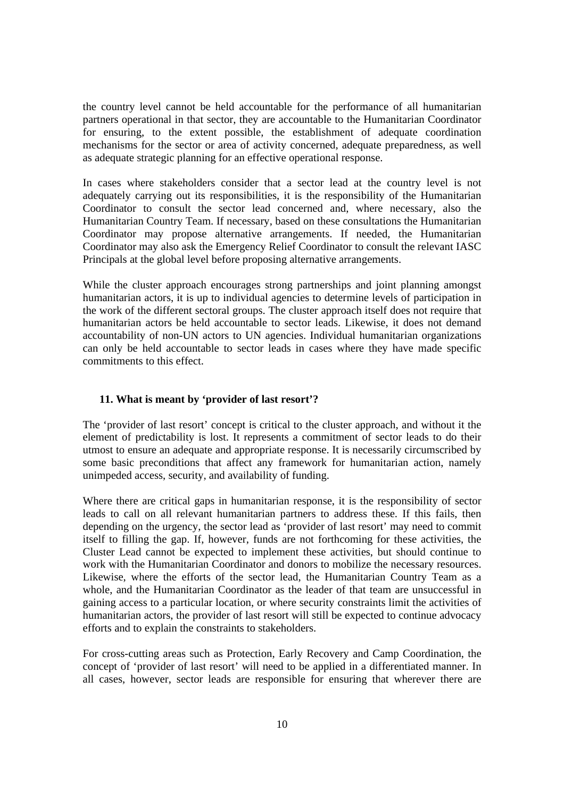the country level cannot be held accountable for the performance of all humanitarian partners operational in that sector, they are accountable to the Humanitarian Coordinator for ensuring, to the extent possible, the establishment of adequate coordination mechanisms for the sector or area of activity concerned, adequate preparedness, as well as adequate strategic planning for an effective operational response.

In cases where stakeholders consider that a sector lead at the country level is not adequately carrying out its responsibilities, it is the responsibility of the Humanitarian Coordinator to consult the sector lead concerned and, where necessary, also the Humanitarian Country Team. If necessary, based on these consultations the Humanitarian Coordinator may propose alternative arrangements. If needed, the Humanitarian Coordinator may also ask the Emergency Relief Coordinator to consult the relevant IASC Principals at the global level before proposing alternative arrangements.

While the cluster approach encourages strong partnerships and joint planning amongst humanitarian actors, it is up to individual agencies to determine levels of participation in the work of the different sectoral groups. The cluster approach itself does not require that humanitarian actors be held accountable to sector leads. Likewise, it does not demand accountability of non-UN actors to UN agencies. Individual humanitarian organizations can only be held accountable to sector leads in cases where they have made specific commitments to this effect.

#### **11. What is meant by 'provider of last resort'?**

The 'provider of last resort' concept is critical to the cluster approach, and without it the element of predictability is lost. It represents a commitment of sector leads to do their utmost to ensure an adequate and appropriate response. It is necessarily circumscribed by some basic preconditions that affect any framework for humanitarian action, namely unimpeded access, security, and availability of funding.

Where there are critical gaps in humanitarian response, it is the responsibility of sector leads to call on all relevant humanitarian partners to address these. If this fails, then depending on the urgency, the sector lead as 'provider of last resort' may need to commit itself to filling the gap. If, however, funds are not forthcoming for these activities, the Cluster Lead cannot be expected to implement these activities, but should continue to work with the Humanitarian Coordinator and donors to mobilize the necessary resources. Likewise, where the efforts of the sector lead, the Humanitarian Country Team as a whole, and the Humanitarian Coordinator as the leader of that team are unsuccessful in gaining access to a particular location, or where security constraints limit the activities of humanitarian actors, the provider of last resort will still be expected to continue advocacy efforts and to explain the constraints to stakeholders.

For cross-cutting areas such as Protection, Early Recovery and Camp Coordination, the concept of 'provider of last resort' will need to be applied in a differentiated manner. In all cases, however, sector leads are responsible for ensuring that wherever there are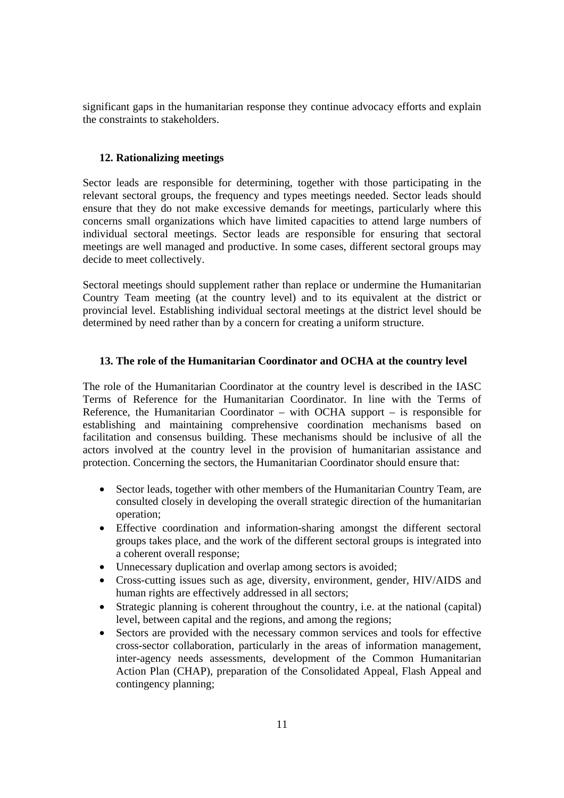significant gaps in the humanitarian response they continue advocacy efforts and explain the constraints to stakeholders.

# **12. Rationalizing meetings**

Sector leads are responsible for determining, together with those participating in the relevant sectoral groups, the frequency and types meetings needed. Sector leads should ensure that they do not make excessive demands for meetings, particularly where this concerns small organizations which have limited capacities to attend large numbers of individual sectoral meetings. Sector leads are responsible for ensuring that sectoral meetings are well managed and productive. In some cases, different sectoral groups may decide to meet collectively.

Sectoral meetings should supplement rather than replace or undermine the Humanitarian Country Team meeting (at the country level) and to its equivalent at the district or provincial level. Establishing individual sectoral meetings at the district level should be determined by need rather than by a concern for creating a uniform structure.

# **13. The role of the Humanitarian Coordinator and OCHA at the country level**

The role of the Humanitarian Coordinator at the country level is described in the IASC Terms of Reference for the Humanitarian Coordinator. In line with the Terms of Reference, the Humanitarian Coordinator – with OCHA support – is responsible for establishing and maintaining comprehensive coordination mechanisms based on facilitation and consensus building. These mechanisms should be inclusive of all the actors involved at the country level in the provision of humanitarian assistance and protection. Concerning the sectors, the Humanitarian Coordinator should ensure that:

- Sector leads, together with other members of the Humanitarian Country Team, are consulted closely in developing the overall strategic direction of the humanitarian operation;
- Effective coordination and information-sharing amongst the different sectoral groups takes place, and the work of the different sectoral groups is integrated into a coherent overall response;
- Unnecessary duplication and overlap among sectors is avoided;
- Cross-cutting issues such as age, diversity, environment, gender, HIV/AIDS and human rights are effectively addressed in all sectors;
- Strategic planning is coherent throughout the country, i.e. at the national (capital) level, between capital and the regions, and among the regions;
- Sectors are provided with the necessary common services and tools for effective cross-sector collaboration, particularly in the areas of information management, inter-agency needs assessments, development of the Common Humanitarian Action Plan (CHAP), preparation of the Consolidated Appeal, Flash Appeal and contingency planning;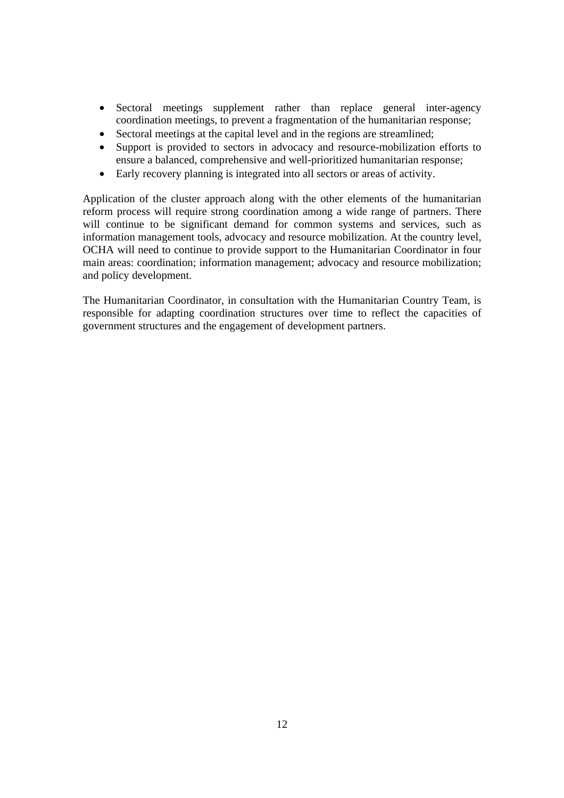- Sectoral meetings supplement rather than replace general inter-agency coordination meetings, to prevent a fragmentation of the humanitarian response;
- Sectoral meetings at the capital level and in the regions are streamlined;
- Support is provided to sectors in advocacy and resource-mobilization efforts to ensure a balanced, comprehensive and well-prioritized humanitarian response;
- Early recovery planning is integrated into all sectors or areas of activity.

Application of the cluster approach along with the other elements of the humanitarian reform process will require strong coordination among a wide range of partners. There will continue to be significant demand for common systems and services, such as information management tools, advocacy and resource mobilization. At the country level, OCHA will need to continue to provide support to the Humanitarian Coordinator in four main areas: coordination; information management; advocacy and resource mobilization; and policy development.

The Humanitarian Coordinator, in consultation with the Humanitarian Country Team, is responsible for adapting coordination structures over time to reflect the capacities of government structures and the engagement of development partners.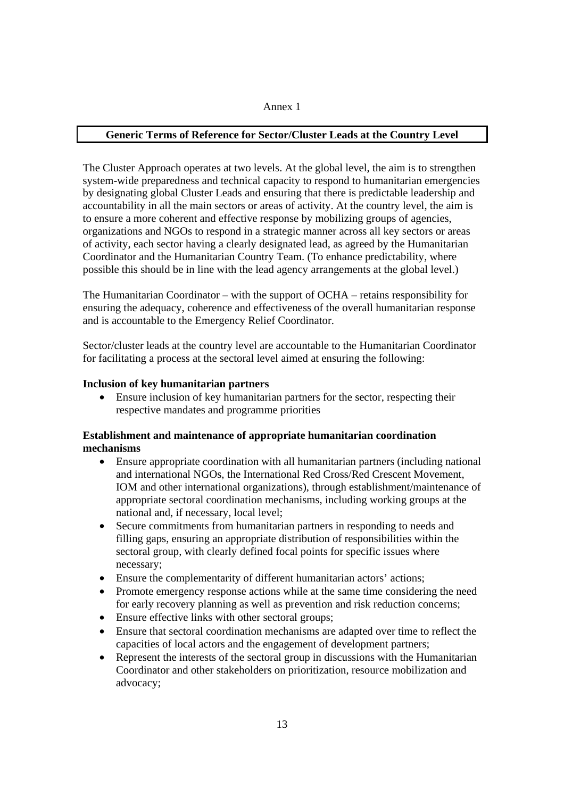#### Annex 1

# **Generic Terms of Reference for Sector/Cluster Leads at the Country Level**

The Cluster Approach operates at two levels. At the global level, the aim is to strengthen system-wide preparedness and technical capacity to respond to humanitarian emergencies by designating global Cluster Leads and ensuring that there is predictable leadership and accountability in all the main sectors or areas of activity. At the country level, the aim is to ensure a more coherent and effective response by mobilizing groups of agencies, organizations and NGOs to respond in a strategic manner across all key sectors or areas of activity, each sector having a clearly designated lead, as agreed by the Humanitarian Coordinator and the Humanitarian Country Team. (To enhance predictability, where possible this should be in line with the lead agency arrangements at the global level.)

The Humanitarian Coordinator – with the support of OCHA – retains responsibility for ensuring the adequacy, coherence and effectiveness of the overall humanitarian response and is accountable to the Emergency Relief Coordinator.

Sector/cluster leads at the country level are accountable to the Humanitarian Coordinator for facilitating a process at the sectoral level aimed at ensuring the following:

# **Inclusion of key humanitarian partners**

• Ensure inclusion of key humanitarian partners for the sector, respecting their respective mandates and programme priorities

# **Establishment and maintenance of appropriate humanitarian coordination mechanisms**

- Ensure appropriate coordination with all humanitarian partners (including national and international NGOs, the International Red Cross/Red Crescent Movement, IOM and other international organizations), through establishment/maintenance of appropriate sectoral coordination mechanisms, including working groups at the national and, if necessary, local level;
- Secure commitments from humanitarian partners in responding to needs and filling gaps, ensuring an appropriate distribution of responsibilities within the sectoral group, with clearly defined focal points for specific issues where necessary;
- Ensure the complementarity of different humanitarian actors' actions;
- Promote emergency response actions while at the same time considering the need for early recovery planning as well as prevention and risk reduction concerns;
- Ensure effective links with other sectoral groups:
- Ensure that sectoral coordination mechanisms are adapted over time to reflect the capacities of local actors and the engagement of development partners;
- Represent the interests of the sectoral group in discussions with the Humanitarian Coordinator and other stakeholders on prioritization, resource mobilization and advocacy;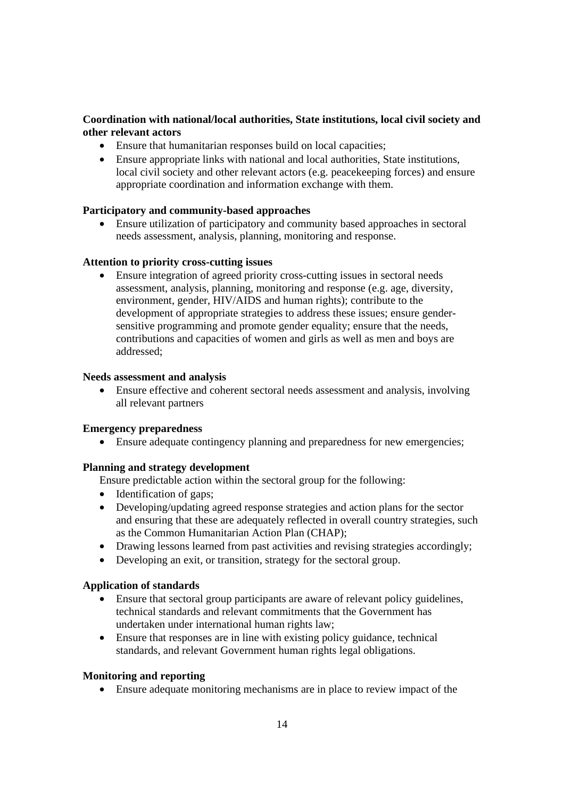# **Coordination with national/local authorities, State institutions, local civil society and other relevant actors**

- Ensure that humanitarian responses build on local capacities;
- Ensure appropriate links with national and local authorities, State institutions, local civil society and other relevant actors (e.g. peacekeeping forces) and ensure appropriate coordination and information exchange with them.

# **Participatory and community-based approaches**

• Ensure utilization of participatory and community based approaches in sectoral needs assessment, analysis, planning, monitoring and response.

# **Attention to priority cross-cutting issues**

• Ensure integration of agreed priority cross-cutting issues in sectoral needs assessment, analysis, planning, monitoring and response (e.g. age, diversity, environment, gender, HIV/AIDS and human rights); contribute to the development of appropriate strategies to address these issues; ensure gendersensitive programming and promote gender equality; ensure that the needs, contributions and capacities of women and girls as well as men and boys are addressed;

#### **Needs assessment and analysis**

• Ensure effective and coherent sectoral needs assessment and analysis, involving all relevant partners

#### **Emergency preparedness**

• Ensure adequate contingency planning and preparedness for new emergencies;

# **Planning and strategy development**

Ensure predictable action within the sectoral group for the following:

- Identification of gaps;
- Developing/updating agreed response strategies and action plans for the sector and ensuring that these are adequately reflected in overall country strategies, such as the Common Humanitarian Action Plan (CHAP);
- Drawing lessons learned from past activities and revising strategies accordingly;
- Developing an exit, or transition, strategy for the sectoral group.

#### **Application of standards**

- Ensure that sectoral group participants are aware of relevant policy guidelines, technical standards and relevant commitments that the Government has undertaken under international human rights law;
- Ensure that responses are in line with existing policy guidance, technical standards, and relevant Government human rights legal obligations.

#### **Monitoring and reporting**

• Ensure adequate monitoring mechanisms are in place to review impact of the